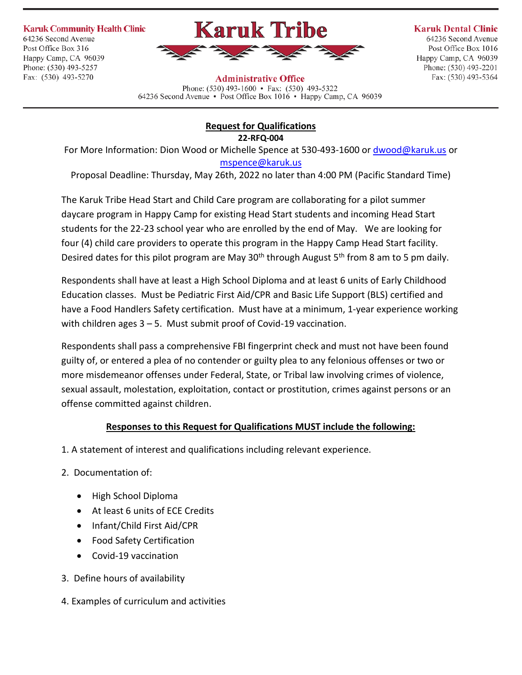**Karuk Community Health Clinic** 

64236 Second Avenue Post Office Box 316 Happy Camp, CA 96039 Phone: (530) 493-5257 Fax: (530) 493-5270



**Karuk Dental Clinic** 

64236 Second Avenue Post Office Box 1016 Happy Camp, CA 96039 Phone: (530) 493-2201 Fax: (530) 493-5364

**Administrative Office** Phone:  $(530)$  493-1600 • Fax:  $(530)$  493-5322 64236 Second Avenue • Post Office Box 1016 • Happy Camp, CA 96039

## **Request for Qualifications 22-RFQ-004**

For More Information: Dion Wood or Michelle Spence at 530-493-1600 o[r dwood@karuk.us](mailto:dwood@karuk.us) or [mspence@karuk.us](mailto:mspence@karuk.us)

Proposal Deadline: Thursday, May 26th, 2022 no later than 4:00 PM (Pacific Standard Time)

The Karuk Tribe Head Start and Child Care program are collaborating for a pilot summer daycare program in Happy Camp for existing Head Start students and incoming Head Start students for the 22-23 school year who are enrolled by the end of May. We are looking for four (4) child care providers to operate this program in the Happy Camp Head Start facility. Desired dates for this pilot program are May 30<sup>th</sup> through August 5<sup>th</sup> from 8 am to 5 pm daily.

Respondents shall have at least a High School Diploma and at least 6 units of Early Childhood Education classes. Must be Pediatric First Aid/CPR and Basic Life Support (BLS) certified and have a Food Handlers Safety certification. Must have at a minimum, 1-year experience working with children ages 3 – 5. Must submit proof of Covid-19 vaccination.

Respondents shall pass a comprehensive FBI fingerprint check and must not have been found guilty of, or entered a plea of no contender or guilty plea to any felonious offenses or two or more misdemeanor offenses under Federal, State, or Tribal law involving crimes of violence, sexual assault, molestation, exploitation, contact or prostitution, crimes against persons or an offense committed against children.

## **Responses to this Request for Qualifications MUST include the following:**

- 1. A statement of interest and qualifications including relevant experience.
- 2. Documentation of:
	- High School Diploma
	- At least 6 units of ECE Credits
	- Infant/Child First Aid/CPR
	- Food Safety Certification
	- Covid-19 vaccination
- 3. Define hours of availability
- 4. Examples of curriculum and activities